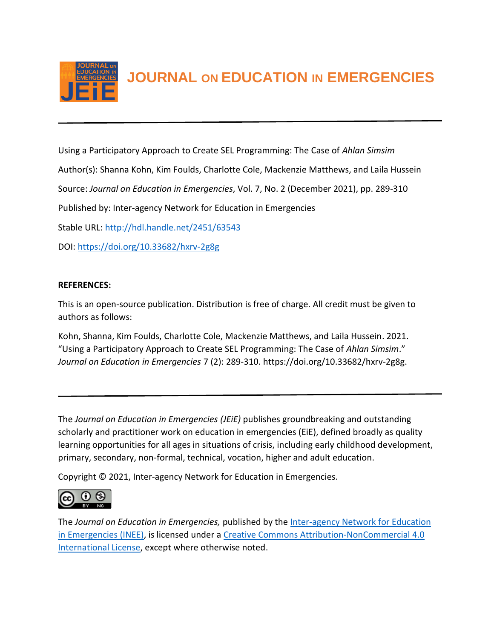

**JOURNAL ON EDUCATION IN EMERGENCIES**

Using a Participatory Approach to Create SEL Programming: The Case of *Ahlan Simsim* Author(s): Shanna Kohn, Kim Foulds, Charlotte Cole, Mackenzie Matthews, and Laila Hussein Source: *Journal on Education in Emergencies*, Vol. 7, No. 2 (December 2021), pp. 289-310 Published by: Inter-agency Network for Education in Emergencies Stable URL:<http://hdl.handle.net/2451/63543> DOI:<https://doi.org/10.33682/hxrv-2g8g>

# **REFERENCES:**

This is an open-source publication. Distribution is free of charge. All credit must be given to authors as follows:

Kohn, Shanna, Kim Foulds, Charlotte Cole, Mackenzie Matthews, and Laila Hussein. 2021. "Using a Participatory Approach to Create SEL Programming: The Case of *Ahlan Simsim*." *Journal on Education in Emergencies* 7 (2): 289-310. https://doi.org/10.33682/hxrv-2g8g.

The *Journal on Education in Emergencies (JEiE)* publishes groundbreaking and outstanding scholarly and practitioner work on education in emergencies (EiE), defined broadly as quality learning opportunities for all ages in situations of crisis, including early childhood development, primary, secondary, non-formal, technical, vocation, higher and adult education.

Copyright © 2021, Inter-agency Network for Education in Emergencies.



The *Journal on Education in Emergencies,* published by the [Inter-agency Network for Education](https://inee.org/evidence/journal)  [in Emergencies \(INEE\),](https://inee.org/evidence/journal) is licensed under a [Creative Commons Attribution-NonCommercial 4.0](https://creativecommons.org/licenses/by-nc/4.0/)  [International License,](https://creativecommons.org/licenses/by-nc/4.0/) except where otherwise noted.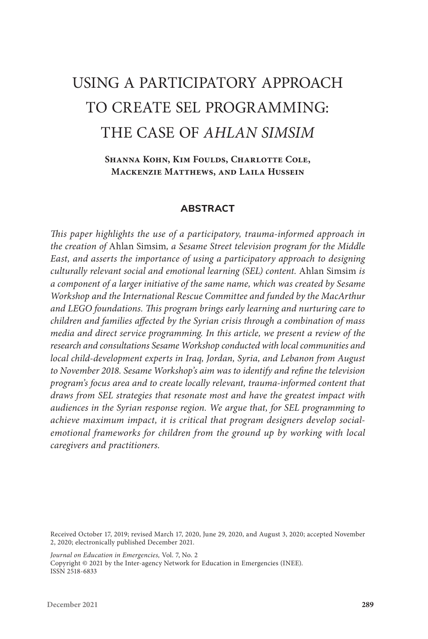# USING A PARTICIPATORY APPROACH TO CREATE SEL PROGRAMMING: THE CASE OF *AHLAN SIMSIM*

**Shanna Kohn, Kim Foulds, Charlotte Cole, Mackenzie Matthews, and Laila Hussein**

#### **ABSTRACT**

*This paper highlights the use of a participatory, trauma-informed approach in the creation of* Ahlan Simsim*, a Sesame Street television program for the Middle East, and asserts the importance of using a participatory approach to designing culturally relevant social and emotional learning (SEL) content.* Ahlan Simsim *is a component of a larger initiative of the same name, which was created by Sesame Workshop and the International Rescue Committee and funded by the MacArthur and LEGO foundations. This program brings early learning and nurturing care to children and families affected by the Syrian crisis through a combination of mass media and direct service programming. In this article, we present a review of the research and consultations Sesame Workshop conducted with local communities and local child-development experts in Iraq, Jordan, Syria, and Lebanon from August to November 2018. Sesame Workshop's aim was to identify and refine the television program's focus area and to create locally relevant, trauma-informed content that draws from SEL strategies that resonate most and have the greatest impact with audiences in the Syrian response region. We argue that, for SEL programming to achieve maximum impact, it is critical that program designers develop socialemotional frameworks for children from the ground up by working with local caregivers and practitioners.*

Received October 17, 2019; revised March 17, 2020, June 29, 2020, and August 3, 2020; accepted November 2, 2020; electronically published December 2021.

*Journal on Education in Emergencies,* Vol. 7, No. 2

Copyright © 2021 by the Inter-agency Network for Education in Emergencies (INEE). ISSN 2518-6833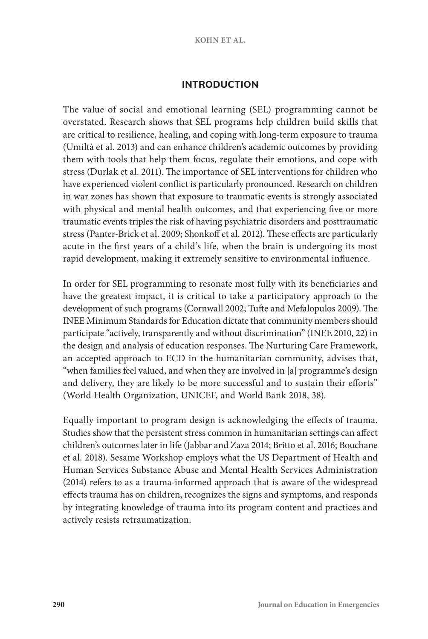#### **KOHN ET AL.**

## **INTRODUCTION**

The value of social and emotional learning (SEL) programming cannot be overstated. Research shows that SEL programs help children build skills that are critical to resilience, healing, and coping with long-term exposure to trauma (Umiltà et al. 2013) and can enhance children's academic outcomes by providing them with tools that help them focus, regulate their emotions, and cope with stress (Durlak et al. 2011). The importance of SEL interventions for children who have experienced violent conflict is particularly pronounced. Research on children in war zones has shown that exposure to traumatic events is strongly associated with physical and mental health outcomes, and that experiencing five or more traumatic events triples the risk of having psychiatric disorders and posttraumatic stress (Panter-Brick et al. 2009; Shonkoff et al. 2012). These effects are particularly acute in the first years of a child's life, when the brain is undergoing its most rapid development, making it extremely sensitive to environmental influence.

In order for SEL programming to resonate most fully with its beneficiaries and have the greatest impact, it is critical to take a participatory approach to the development of such programs (Cornwall 2002; Tufte and Mefalopulos 2009). The INEE Minimum Standards for Education dictate that community members should participate "actively, transparently and without discrimination" (INEE 2010, 22) in the design and analysis of education responses. The Nurturing Care Framework, an accepted approach to ECD in the humanitarian community, advises that, "when families feel valued, and when they are involved in [a] programme's design and delivery, they are likely to be more successful and to sustain their efforts" (World Health Organization, UNICEF, and World Bank 2018, 38).

Equally important to program design is acknowledging the effects of trauma. Studies show that the persistent stress common in humanitarian settings can affect children's outcomes later in life (Jabbar and Zaza 2014; Britto et al. 2016; Bouchane et al. 2018). Sesame Workshop employs what the US Department of Health and Human Services Substance Abuse and Mental Health Services Administration (2014) refers to as a trauma-informed approach that is aware of the widespread effects trauma has on children, recognizes the signs and symptoms, and responds by integrating knowledge of trauma into its program content and practices and actively resists retraumatization.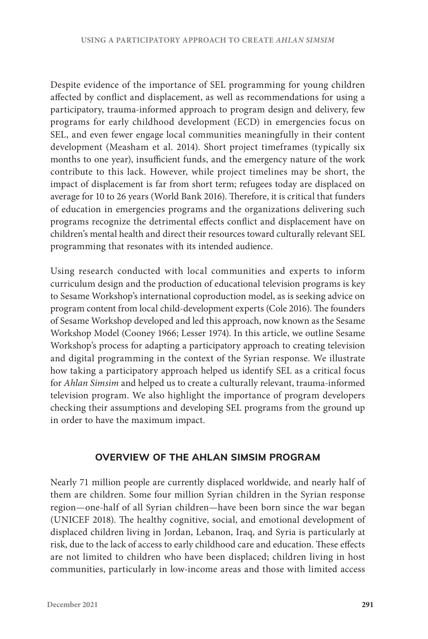Despite evidence of the importance of SEL programming for young children affected by conflict and displacement, as well as recommendations for using a participatory, trauma-informed approach to program design and delivery, few programs for early childhood development (ECD) in emergencies focus on SEL, and even fewer engage local communities meaningfully in their content development (Measham et al. 2014). Short project timeframes (typically six months to one year), insufficient funds, and the emergency nature of the work contribute to this lack. However, while project timelines may be short, the impact of displacement is far from short term; refugees today are displaced on average for 10 to 26 years (World Bank 2016). Therefore, it is critical that funders of education in emergencies programs and the organizations delivering such programs recognize the detrimental effects conflict and displacement have on children's mental health and direct their resources toward culturally relevant SEL programming that resonates with its intended audience.

Using research conducted with local communities and experts to inform curriculum design and the production of educational television programs is key to Sesame Workshop's international coproduction model, as is seeking advice on program content from local child-development experts (Cole 2016). The founders of Sesame Workshop developed and led this approach, now known as the Sesame Workshop Model (Cooney 1966; Lesser 1974). In this article, we outline Sesame Workshop's process for adapting a participatory approach to creating television and digital programming in the context of the Syrian response. We illustrate how taking a participatory approach helped us identify SEL as a critical focus for *Ahlan Simsim* and helped us to create a culturally relevant, trauma-informed television program. We also highlight the importance of program developers checking their assumptions and developing SEL programs from the ground up in order to have the maximum impact.

## **OVERVIEW OF THE AHLAN SIMSIM PROGRAM**

Nearly 71 million people are currently displaced worldwide, and nearly half of them are children. Some four million Syrian children in the Syrian response region—one-half of all Syrian children—have been born since the war began (UNICEF 2018). The healthy cognitive, social, and emotional development of displaced children living in Jordan, Lebanon, Iraq, and Syria is particularly at risk, due to the lack of access to early childhood care and education. These effects are not limited to children who have been displaced; children living in host communities, particularly in low-income areas and those with limited access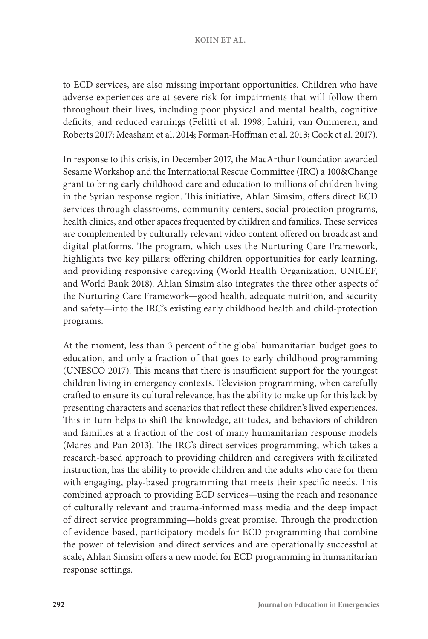#### **KOHN ET AL.**

to ECD services, are also missing important opportunities. Children who have adverse experiences are at severe risk for impairments that will follow them throughout their lives, including poor physical and mental health, cognitive deficits, and reduced earnings (Felitti et al. 1998; Lahiri, van Ommeren, and Roberts 2017; Measham et al. 2014; Forman-Hoffman et al. 2013; Cook et al. 2017).

In response to this crisis, in December 2017, the MacArthur Foundation awarded Sesame Workshop and the International Rescue Committee (IRC) a 100&Change grant to bring early childhood care and education to millions of children living in the Syrian response region. This initiative, Ahlan Simsim, offers direct ECD services through classrooms, community centers, social-protection programs, health clinics, and other spaces frequented by children and families. These services are complemented by culturally relevant video content offered on broadcast and digital platforms. The program, which uses the Nurturing Care Framework, highlights two key pillars: offering children opportunities for early learning, and providing responsive caregiving (World Health Organization, UNICEF, and World Bank 2018). Ahlan Simsim also integrates the three other aspects of the Nurturing Care Framework—good health, adequate nutrition, and security and safety—into the IRC's existing early childhood health and child-protection programs.

At the moment, less than 3 percent of the global humanitarian budget goes to education, and only a fraction of that goes to early childhood programming (UNESCO 2017). This means that there is insufficient support for the youngest children living in emergency contexts. Television programming, when carefully crafted to ensure its cultural relevance, has the ability to make up for this lack by presenting characters and scenarios that reflect these children's lived experiences. This in turn helps to shift the knowledge, attitudes, and behaviors of children and families at a fraction of the cost of many humanitarian response models (Mares and Pan 2013). The IRC's direct services programming, which takes a research-based approach to providing children and caregivers with facilitated instruction, has the ability to provide children and the adults who care for them with engaging, play-based programming that meets their specific needs. This combined approach to providing ECD services—using the reach and resonance of culturally relevant and trauma-informed mass media and the deep impact of direct service programming—holds great promise. Through the production of evidence-based, participatory models for ECD programming that combine the power of television and direct services and are operationally successful at scale, Ahlan Simsim offers a new model for ECD programming in humanitarian response settings.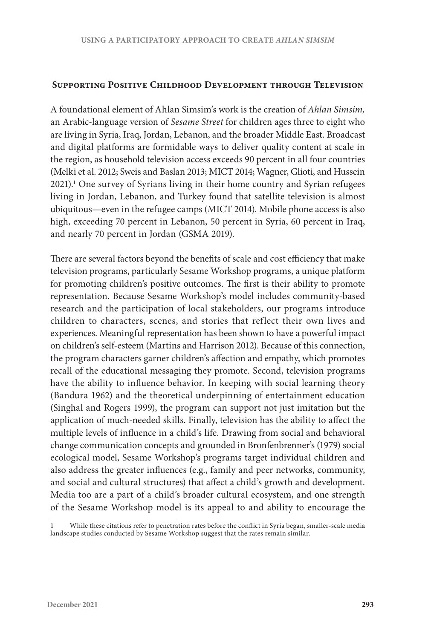#### **Supporting Positive Childhood Development through Television**

A foundational element of Ahlan Simsim's work is the creation of *Ahlan Simsim,* an Arabic-language version of *Sesame Street* for children ages three to eight who are living in Syria, Iraq, Jordan, Lebanon, and the broader Middle East. Broadcast and digital platforms are formidable ways to deliver quality content at scale in the region, as household television access exceeds 90 percent in all four countries (Melki et al. 2012; Sweis and Baslan 2013; MICT 2014; Wagner, Glioti, and Hussein 2021).1 One survey of Syrians living in their home country and Syrian refugees living in Jordan, Lebanon, and Turkey found that satellite television is almost ubiquitous—even in the refugee camps (MICT 2014). Mobile phone access is also high, exceeding 70 percent in Lebanon, 50 percent in Syria, 60 percent in Iraq, and nearly 70 percent in Jordan (GSMA 2019).

There are several factors beyond the benefits of scale and cost efficiency that make television programs, particularly Sesame Workshop programs, a unique platform for promoting children's positive outcomes. The first is their ability to promote representation. Because Sesame Workshop's model includes community-based research and the participation of local stakeholders, our programs introduce children to characters, scenes, and stories that reflect their own lives and experiences. Meaningful representation has been shown to have a powerful impact on children's self-esteem (Martins and Harrison 2012). Because of this connection, the program characters garner children's affection and empathy, which promotes recall of the educational messaging they promote. Second, television programs have the ability to influence behavior. In keeping with social learning theory (Bandura 1962) and the theoretical underpinning of entertainment education (Singhal and Rogers 1999), the program can support not just imitation but the application of much-needed skills. Finally, television has the ability to affect the multiple levels of influence in a child's life. Drawing from social and behavioral change communication concepts and grounded in Bronfenbrenner's (1979) social ecological model, Sesame Workshop's programs target individual children and also address the greater influences (e.g., family and peer networks, community, and social and cultural structures) that affect a child's growth and development. Media too are a part of a child's broader cultural ecosystem, and one strength of the Sesame Workshop model is its appeal to and ability to encourage the

While these citations refer to penetration rates before the conflict in Syria began, smaller-scale media landscape studies conducted by Sesame Workshop suggest that the rates remain similar.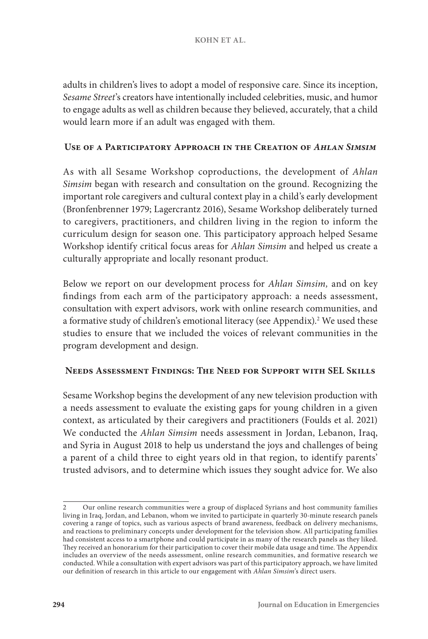adults in children's lives to adopt a model of responsive care. Since its inception, *Sesame Street*'s creators have intentionally included celebrities, music, and humor to engage adults as well as children because they believed, accurately, that a child would learn more if an adult was engaged with them.

## **Use of a Participatory Approach in the Creation of** *Ahlan Simsim*

As with all Sesame Workshop coproductions, the development of *Ahlan Simsim* began with research and consultation on the ground. Recognizing the important role caregivers and cultural context play in a child's early development (Bronfenbrenner 1979; Lagercrantz 2016), Sesame Workshop deliberately turned to caregivers, practitioners, and children living in the region to inform the curriculum design for season one. This participatory approach helped Sesame Workshop identify critical focus areas for *Ahlan Simsim* and helped us create a culturally appropriate and locally resonant product.

Below we report on our development process for *Ahlan Simsim,* and on key findings from each arm of the participatory approach: a needs assessment, consultation with expert advisors, work with online research communities, and a formative study of children's emotional literacy (see Appendix).<sup>2</sup> We used these studies to ensure that we included the voices of relevant communities in the program development and design.

## **Needs Assessment Findings: The Need for Support with SEL Skills**

Sesame Workshop begins the development of any new television production with a needs assessment to evaluate the existing gaps for young children in a given context, as articulated by their caregivers and practitioners (Foulds et al. 2021) We conducted the *Ahlan Simsim* needs assessment in Jordan, Lebanon, Iraq, and Syria in August 2018 to help us understand the joys and challenges of being a parent of a child three to eight years old in that region, to identify parents' trusted advisors, and to determine which issues they sought advice for. We also

<sup>2</sup> Our online research communities were a group of displaced Syrians and host community families living in Iraq, Jordan, and Lebanon, whom we invited to participate in quarterly 30-minute research panels covering a range of topics, such as various aspects of brand awareness, feedback on delivery mechanisms, and reactions to preliminary concepts under development for the television show. All participating families had consistent access to a smartphone and could participate in as many of the research panels as they liked. They received an honorarium for their participation to cover their mobile data usage and time. The Appendix includes an overview of the needs assessment, online research communities, and formative research we conducted. While a consultation with expert advisors was part of this participatory approach, we have limited our definition of research in this article to our engagement with *Ahlan Simsim*'s direct users.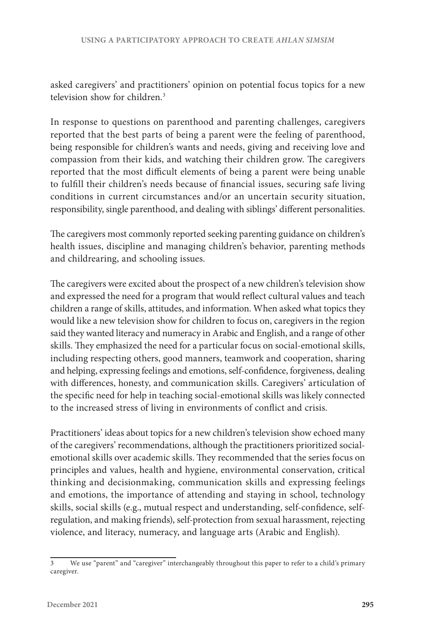asked caregivers' and practitioners' opinion on potential focus topics for a new television show for children.<sup>3</sup>

In response to questions on parenthood and parenting challenges, caregivers reported that the best parts of being a parent were the feeling of parenthood, being responsible for children's wants and needs, giving and receiving love and compassion from their kids, and watching their children grow. The caregivers reported that the most difficult elements of being a parent were being unable to fulfill their children's needs because of financial issues, securing safe living conditions in current circumstances and/or an uncertain security situation, responsibility, single parenthood, and dealing with siblings' different personalities.

The caregivers most commonly reported seeking parenting guidance on children's health issues, discipline and managing children's behavior, parenting methods and childrearing, and schooling issues.

The caregivers were excited about the prospect of a new children's television show and expressed the need for a program that would reflect cultural values and teach children a range of skills, attitudes, and information. When asked what topics they would like a new television show for children to focus on, caregivers in the region said they wanted literacy and numeracy in Arabic and English, and a range of other skills. They emphasized the need for a particular focus on social-emotional skills, including respecting others, good manners, teamwork and cooperation, sharing and helping, expressing feelings and emotions, self-confidence, forgiveness, dealing with differences, honesty, and communication skills. Caregivers' articulation of the specific need for help in teaching social-emotional skills was likely connected to the increased stress of living in environments of conflict and crisis.

Practitioners' ideas about topics for a new children's television show echoed many of the caregivers' recommendations, although the practitioners prioritized socialemotional skills over academic skills. They recommended that the series focus on principles and values, health and hygiene, environmental conservation, critical thinking and decisionmaking, communication skills and expressing feelings and emotions, the importance of attending and staying in school, technology skills, social skills (e.g., mutual respect and understanding, self-confidence, selfregulation, and making friends), self-protection from sexual harassment, rejecting violence, and literacy, numeracy, and language arts (Arabic and English).

<sup>3</sup> We use "parent" and "caregiver" interchangeably throughout this paper to refer to a child's primary caregiver.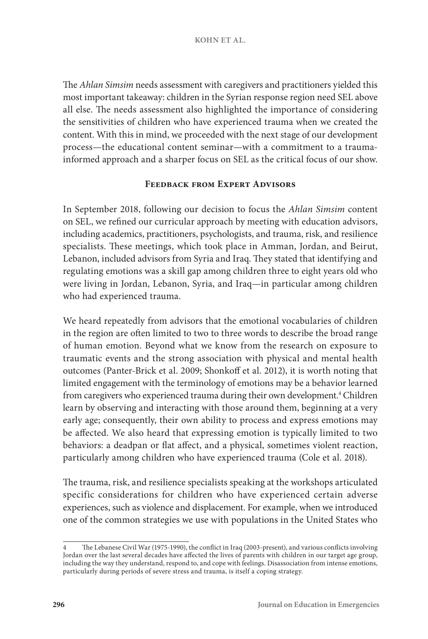The *Ahlan Simsim* needs assessment with caregivers and practitioners yielded this most important takeaway: children in the Syrian response region need SEL above all else. The needs assessment also highlighted the importance of considering the sensitivities of children who have experienced trauma when we created the content. With this in mind, we proceeded with the next stage of our development process—the educational content seminar—with a commitment to a traumainformed approach and a sharper focus on SEL as the critical focus of our show.

#### **Feedback from Expert Advisors**

In September 2018, following our decision to focus the *Ahlan Simsim* content on SEL, we refined our curricular approach by meeting with education advisors, including academics, practitioners, psychologists, and trauma, risk, and resilience specialists. These meetings, which took place in Amman, Jordan, and Beirut, Lebanon, included advisors from Syria and Iraq. They stated that identifying and regulating emotions was a skill gap among children three to eight years old who were living in Jordan, Lebanon, Syria, and Iraq—in particular among children who had experienced trauma.

We heard repeatedly from advisors that the emotional vocabularies of children in the region are often limited to two to three words to describe the broad range of human emotion. Beyond what we know from the research on exposure to traumatic events and the strong association with physical and mental health outcomes (Panter-Brick et al. 2009; Shonkoff et al. 2012), it is worth noting that limited engagement with the terminology of emotions may be a behavior learned from caregivers who experienced trauma during their own development.<sup>4</sup> Children learn by observing and interacting with those around them, beginning at a very early age; consequently, their own ability to process and express emotions may be affected. We also heard that expressing emotion is typically limited to two behaviors: a deadpan or flat affect, and a physical, sometimes violent reaction, particularly among children who have experienced trauma (Cole et al. 2018).

The trauma, risk, and resilience specialists speaking at the workshops articulated specific considerations for children who have experienced certain adverse experiences, such as violence and displacement. For example, when we introduced one of the common strategies we use with populations in the United States who

<sup>4</sup> The Lebanese Civil War (1975-1990), the conflict in Iraq (2003-present), and various conflicts involving Jordan over the last several decades have affected the lives of parents with children in our target age group, including the way they understand, respond to, and cope with feelings. Disassociation from intense emotions, particularly during periods of severe stress and trauma, is itself a coping strategy.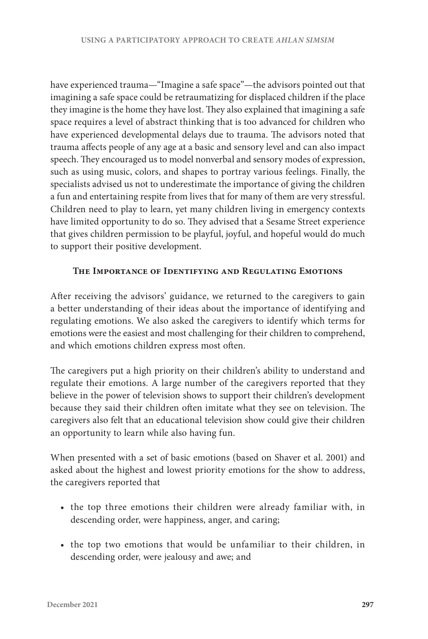have experienced trauma—"Imagine a safe space"—the advisors pointed out that imagining a safe space could be retraumatizing for displaced children if the place they imagine is the home they have lost. They also explained that imagining a safe space requires a level of abstract thinking that is too advanced for children who have experienced developmental delays due to trauma. The advisors noted that trauma affects people of any age at a basic and sensory level and can also impact speech. They encouraged us to model nonverbal and sensory modes of expression, such as using music, colors, and shapes to portray various feelings. Finally, the specialists advised us not to underestimate the importance of giving the children a fun and entertaining respite from lives that for many of them are very stressful. Children need to play to learn, yet many children living in emergency contexts have limited opportunity to do so. They advised that a Sesame Street experience that gives children permission to be playful, joyful, and hopeful would do much to support their positive development.

## **The Importance of Identifying and Regulating Emotions**

After receiving the advisors' guidance, we returned to the caregivers to gain a better understanding of their ideas about the importance of identifying and regulating emotions. We also asked the caregivers to identify which terms for emotions were the easiest and most challenging for their children to comprehend, and which emotions children express most often.

The caregivers put a high priority on their children's ability to understand and regulate their emotions. A large number of the caregivers reported that they believe in the power of television shows to support their children's development because they said their children often imitate what they see on television. The caregivers also felt that an educational television show could give their children an opportunity to learn while also having fun.

When presented with a set of basic emotions (based on Shaver et al. 2001) and asked about the highest and lowest priority emotions for the show to address, the caregivers reported that

- the top three emotions their children were already familiar with, in descending order, were happiness, anger, and caring;
- the top two emotions that would be unfamiliar to their children, in descending order, were jealousy and awe; and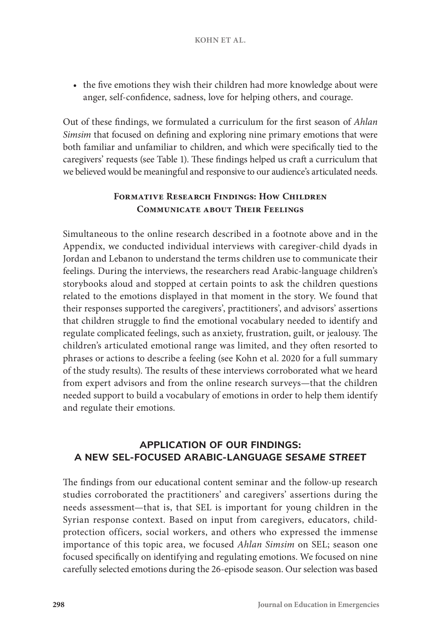• the five emotions they wish their children had more knowledge about were anger, self-confidence, sadness, love for helping others, and courage.

Out of these findings, we formulated a curriculum for the first season of *Ahlan Simsim* that focused on defining and exploring nine primary emotions that were both familiar and unfamiliar to children, and which were specifically tied to the caregivers' requests (see Table 1). These findings helped us craft a curriculum that we believed would be meaningful and responsive to our audience's articulated needs.

# **FORMATIVE RESEARCH FINDINGS: HOW CHILDREN Communicate about Their Feelings**

Simultaneous to the online research described in a footnote above and in the Appendix, we conducted individual interviews with caregiver-child dyads in Jordan and Lebanon to understand the terms children use to communicate their feelings. During the interviews, the researchers read Arabic-language children's storybooks aloud and stopped at certain points to ask the children questions related to the emotions displayed in that moment in the story. We found that their responses supported the caregivers', practitioners', and advisors' assertions that children struggle to find the emotional vocabulary needed to identify and regulate complicated feelings, such as anxiety, frustration, guilt, or jealousy. The children's articulated emotional range was limited, and they often resorted to phrases or actions to describe a feeling (see Kohn et al. 2020 for a full summary of the study results). The results of these interviews corroborated what we heard from expert advisors and from the online research surveys—that the children needed support to build a vocabulary of emotions in order to help them identify and regulate their emotions.

# **APPLICATION OF OUR FINDINGS: A NEW SEL-FOCUSED ARABIC-LANGUAGE** *SESAME STREET*

The findings from our educational content seminar and the follow-up research studies corroborated the practitioners' and caregivers' assertions during the needs assessment—that is, that SEL is important for young children in the Syrian response context. Based on input from caregivers, educators, childprotection officers, social workers, and others who expressed the immense importance of this topic area, we focused *Ahlan Simsim* on SEL; season one focused specifically on identifying and regulating emotions. We focused on nine carefully selected emotions during the 26-episode season. Our selection was based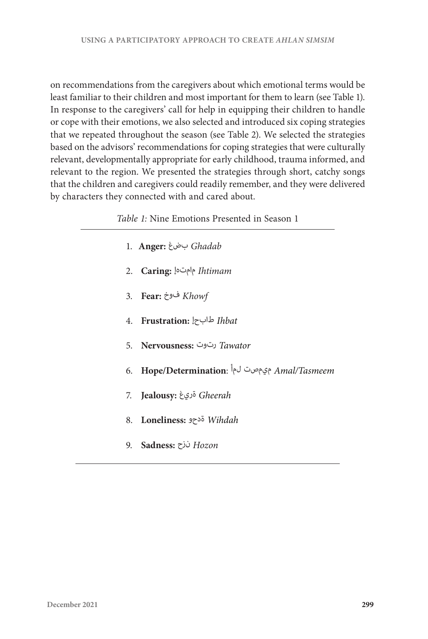on recommendations from the caregivers about which emotional terms would be least familiar to their children and most important for them to learn (see Table 1). In response to the caregivers' call for help in equipping their children to handle or cope with their emotions, we also selected and introduced six coping strategies that we repeated throughout the season (see Table 2). We selected the strategies based on the advisors' recommendations for coping strategies that were culturally relevant, developmentally appropriate for early childhood, trauma informed, and relevant to the region. We presented the strategies through short, catchy songs that the children and caregivers could readily remember, and they were delivered by characters they connected with and cared about.

|  |  |  | 1. Anger: بضغ Ghadab |
|--|--|--|----------------------|
|--|--|--|----------------------|

- 2. **Caring:** مامتهإ *Ihtimam*
- 3. **Fear:** فوخ *Khowf*
- 4. **Frustration:** طابحإ *Ihbat*
- 5. **Nervousness:** رتوت *Tawator*
- 6. **Hope/Determination**: لمأ ميمصت *Amal/Tasmeem*
- 7. **Jealousy:** ةريغ *Gheerah*
- 8. **Loneliness:** ةدحو *Wihdah*
- 9. **Sadness:** نزح *Hozon*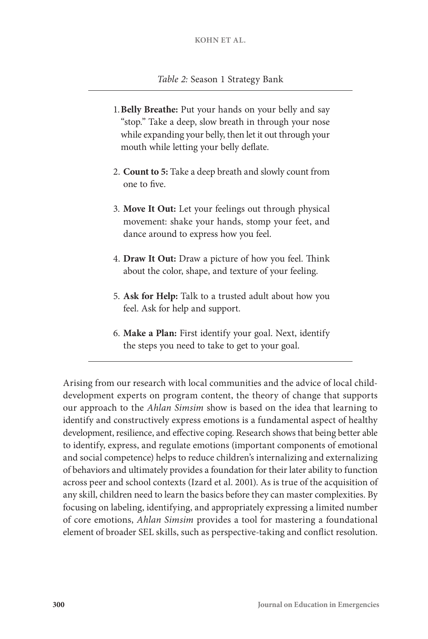- 1.**Belly Breathe:** Put your hands on your belly and say "stop." Take a deep, slow breath in through your nose while expanding your belly, then let it out through your mouth while letting your belly deflate.
- 2. **Count to 5:** Take a deep breath and slowly count from one to five.
- 3. **Move It Out:** Let your feelings out through physical movement: shake your hands, stomp your feet, and dance around to express how you feel.
- 4. **Draw It Out:** Draw a picture of how you feel. Think about the color, shape, and texture of your feeling.
- 5. **Ask for Help:** Talk to a trusted adult about how you feel. Ask for help and support.
- 6. **Make a Plan:** First identify your goal. Next, identify the steps you need to take to get to your goal.

Arising from our research with local communities and the advice of local childdevelopment experts on program content, the theory of change that supports our approach to the *Ahlan Simsim* show is based on the idea that learning to identify and constructively express emotions is a fundamental aspect of healthy development, resilience, and effective coping. Research shows that being better able to identify, express, and regulate emotions (important components of emotional and social competence) helps to reduce children's internalizing and externalizing of behaviors and ultimately provides a foundation for their later ability to function across peer and school contexts (Izard et al. 2001). As is true of the acquisition of any skill, children need to learn the basics before they can master complexities. By focusing on labeling, identifying, and appropriately expressing a limited number of core emotions, *Ahlan Simsim* provides a tool for mastering a foundational element of broader SEL skills, such as perspective-taking and conflict resolution.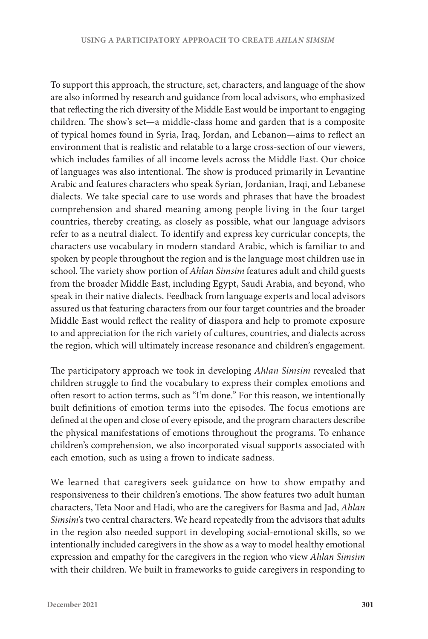To support this approach, the structure, set, characters, and language of the show are also informed by research and guidance from local advisors, who emphasized that reflecting the rich diversity of the Middle East would be important to engaging children. The show's set—a middle-class home and garden that is a composite of typical homes found in Syria, Iraq, Jordan, and Lebanon—aims to reflect an environment that is realistic and relatable to a large cross-section of our viewers, which includes families of all income levels across the Middle East. Our choice of languages was also intentional. The show is produced primarily in Levantine Arabic and features characters who speak Syrian, Jordanian, Iraqi, and Lebanese dialects. We take special care to use words and phrases that have the broadest comprehension and shared meaning among people living in the four target countries, thereby creating, as closely as possible, what our language advisors refer to as a neutral dialect. To identify and express key curricular concepts, the characters use vocabulary in modern standard Arabic, which is familiar to and spoken by people throughout the region and is the language most children use in school. The variety show portion of *Ahlan Simsim* features adult and child guests from the broader Middle East, including Egypt, Saudi Arabia, and beyond, who speak in their native dialects. Feedback from language experts and local advisors assured us that featuring characters from our four target countries and the broader Middle East would reflect the reality of diaspora and help to promote exposure to and appreciation for the rich variety of cultures, countries, and dialects across the region, which will ultimately increase resonance and children's engagement.

The participatory approach we took in developing *Ahlan Simsim* revealed that children struggle to find the vocabulary to express their complex emotions and often resort to action terms, such as "I'm done." For this reason, we intentionally built definitions of emotion terms into the episodes. The focus emotions are defined at the open and close of every episode, and the program characters describe the physical manifestations of emotions throughout the programs. To enhance children's comprehension, we also incorporated visual supports associated with each emotion, such as using a frown to indicate sadness.

We learned that caregivers seek guidance on how to show empathy and responsiveness to their children's emotions. The show features two adult human characters, Teta Noor and Hadi, who are the caregivers for Basma and Jad, *Ahlan Simsim*'s two central characters. We heard repeatedly from the advisors that adults in the region also needed support in developing social-emotional skills, so we intentionally included caregivers in the show as a way to model healthy emotional expression and empathy for the caregivers in the region who view *Ahlan Simsim* with their children. We built in frameworks to guide caregivers in responding to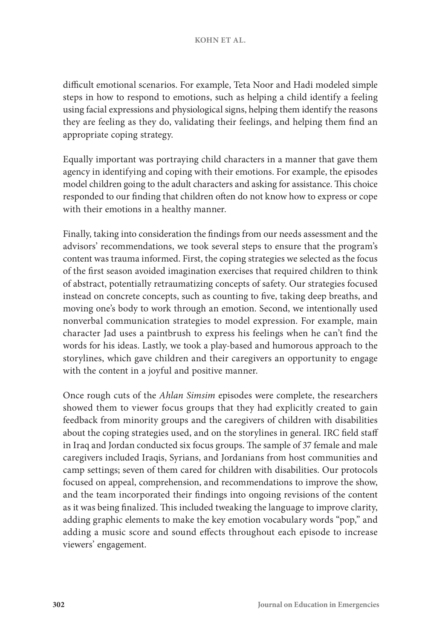difficult emotional scenarios. For example, Teta Noor and Hadi modeled simple steps in how to respond to emotions, such as helping a child identify a feeling using facial expressions and physiological signs, helping them identify the reasons they are feeling as they do, validating their feelings, and helping them find an appropriate coping strategy.

Equally important was portraying child characters in a manner that gave them agency in identifying and coping with their emotions. For example, the episodes model children going to the adult characters and asking for assistance. This choice responded to our finding that children often do not know how to express or cope with their emotions in a healthy manner.

Finally, taking into consideration the findings from our needs assessment and the advisors' recommendations, we took several steps to ensure that the program's content was trauma informed. First, the coping strategies we selected as the focus of the first season avoided imagination exercises that required children to think of abstract, potentially retraumatizing concepts of safety. Our strategies focused instead on concrete concepts, such as counting to five, taking deep breaths, and moving one's body to work through an emotion. Second, we intentionally used nonverbal communication strategies to model expression. For example, main character Jad uses a paintbrush to express his feelings when he can't find the words for his ideas. Lastly, we took a play-based and humorous approach to the storylines, which gave children and their caregivers an opportunity to engage with the content in a joyful and positive manner.

Once rough cuts of the *Ahlan Simsim* episodes were complete, the researchers showed them to viewer focus groups that they had explicitly created to gain feedback from minority groups and the caregivers of children with disabilities about the coping strategies used, and on the storylines in general. IRC field staff in Iraq and Jordan conducted six focus groups. The sample of 37 female and male caregivers included Iraqis, Syrians, and Jordanians from host communities and camp settings; seven of them cared for children with disabilities. Our protocols focused on appeal, comprehension, and recommendations to improve the show, and the team incorporated their findings into ongoing revisions of the content as it was being finalized. This included tweaking the language to improve clarity, adding graphic elements to make the key emotion vocabulary words "pop," and adding a music score and sound effects throughout each episode to increase viewers' engagement.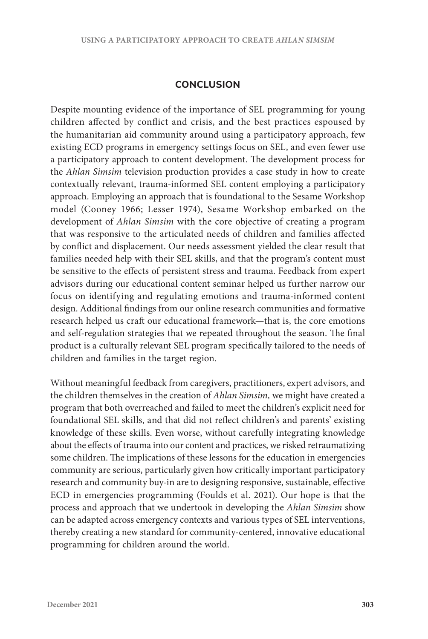## **CONCLUSION**

Despite mounting evidence of the importance of SEL programming for young children affected by conflict and crisis, and the best practices espoused by the humanitarian aid community around using a participatory approach, few existing ECD programs in emergency settings focus on SEL, and even fewer use a participatory approach to content development. The development process for the *Ahlan Simsim* television production provides a case study in how to create contextually relevant, trauma-informed SEL content employing a participatory approach. Employing an approach that is foundational to the Sesame Workshop model (Cooney 1966; Lesser 1974), Sesame Workshop embarked on the development of *Ahlan Simsim* with the core objective of creating a program that was responsive to the articulated needs of children and families affected by conflict and displacement. Our needs assessment yielded the clear result that families needed help with their SEL skills, and that the program's content must be sensitive to the effects of persistent stress and trauma. Feedback from expert advisors during our educational content seminar helped us further narrow our focus on identifying and regulating emotions and trauma-informed content design. Additional findings from our online research communities and formative research helped us craft our educational framework—that is, the core emotions and self-regulation strategies that we repeated throughout the season. The final product is a culturally relevant SEL program specifically tailored to the needs of children and families in the target region.

Without meaningful feedback from caregivers, practitioners, expert advisors, and the children themselves in the creation of *Ahlan Simsim,* we might have created a program that both overreached and failed to meet the children's explicit need for foundational SEL skills, and that did not reflect children's and parents' existing knowledge of these skills. Even worse, without carefully integrating knowledge about the effects of trauma into our content and practices, we risked retraumatizing some children. The implications of these lessons for the education in emergencies community are serious, particularly given how critically important participatory research and community buy-in are to designing responsive, sustainable, effective ECD in emergencies programming (Foulds et al. 2021). Our hope is that the process and approach that we undertook in developing the *Ahlan Simsim* show can be adapted across emergency contexts and various types of SEL interventions, thereby creating a new standard for community-centered, innovative educational programming for children around the world.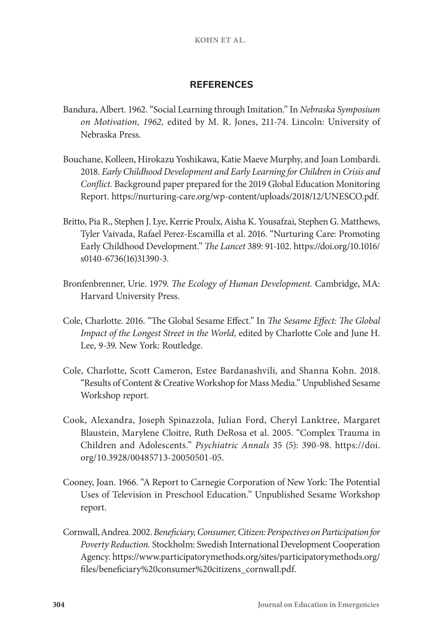## **REFERENCES**

- Bandura, Albert. 1962. "Social Learning through Imitation." In *Nebraska Symposium on Motivation, 1962,* edited by M. R. Jones, 211-74. Lincoln: University of Nebraska Press.
- Bouchane, Kolleen, Hirokazu Yoshikawa, Katie Maeve Murphy, and Joan Lombardi. 2018. *Early Childhood Development and Early Learning for Children in Crisis and Conflict.* Background paper prepared for the 2019 Global Education Monitoring Report. [https://nurturing-care.org/wp-content/uploads/2018/12/UNESCO.pdf]( https://nurturing-care.org/wp-content/uploads/2018/12/UNESCO.pdf).
- Britto, Pia R., Stephen J. Lye, Kerrie Proulx, Aisha K. Yousafzai, Stephen G. Matthews, Tyler Vaivada, Rafael Perez-Escamilla et al. 2016. "Nurturing Care: Promoting Early Childhood Development." *The Lancet* 389: 91-102. [https://doi.org/10.1016/](https://doi.org/10.1016/s0140-6736(16)31390-3) [s0140-6736\(16\)31390-3.](https://doi.org/10.1016/s0140-6736(16)31390-3)
- Bronfenbrenner, Urie. 1979. *The Ecology of Human Development.* Cambridge, MA: Harvard University Press.
- Cole, Charlotte. 2016. "The Global Sesame Effect." In *The Sesame Effect: The Global Impact of the Longest Street in the World,* edited by Charlotte Cole and June H. Lee, 9-39. New York: Routledge.
- Cole, Charlotte, Scott Cameron, Estee Bardanashvili, and Shanna Kohn. 2018. "Results of Content & Creative Workshop for Mass Media." Unpublished Sesame Workshop report.
- Cook, Alexandra, Joseph Spinazzola, Julian Ford, Cheryl Lanktree, Margaret Blaustein, Marylene Cloitre, Ruth DeRosa et al. 2005. "Complex Trauma in Children and Adolescents." *Psychiatric Annals* 35 (5): 390-98. [https://doi.](https://doi.org/10.3928/00485713-20050501-05) [org/10.3928/00485713-20050501-05.](https://doi.org/10.3928/00485713-20050501-05)
- Cooney, Joan. 1966. "A Report to Carnegie Corporation of New York: The Potential Uses of Television in Preschool Education." Unpublished Sesame Workshop report.
- Cornwall, Andrea. 2002. *Beneficiary, Consumer, Citizen: Perspectives on Participation for Poverty Reduction.* Stockholm: Swedish International Development Cooperation Agency. [https://www.participatorymethods.org/sites/participatorymethods.org/](https://www.participatorymethods.org/sites/participatorymethods.org/files/beneficiary%20consumer%20citizens_cornwall.pdf.) [files/beneficiary%20consumer%20citizens\\_cornwall.pdf.](https://www.participatorymethods.org/sites/participatorymethods.org/files/beneficiary%20consumer%20citizens_cornwall.pdf.)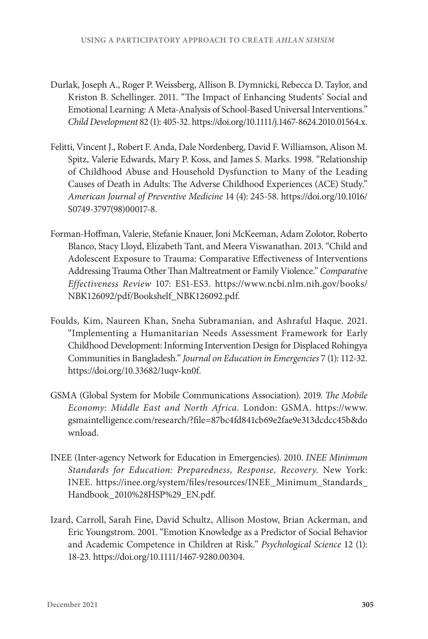- Durlak, Joseph A., Roger P. Weissberg, Allison B. Dymnicki, Rebecca D. Taylor, and Kriston B. Schellinger. 2011. "The Impact of Enhancing Students' Social and Emotional Learning: A Meta-Analysis of School-Based Universal Interventions." *Child Development* 82 (1): 405-32.<https://doi.org/10.1111/j.1467-8624.2010.01564.x>.
- Felitti, Vincent J., Robert F. Anda, Dale Nordenberg, David F. Williamson, Alison M. Spitz, Valerie Edwards, Mary P. Koss, and James S. Marks. 1998. "Relationship of Childhood Abuse and Household Dysfunction to Many of the Leading Causes of Death in Adults: The Adverse Childhood Experiences (ACE) Study." *American Journal of Preventive Medicine* 14 (4): 245-58. [https://doi.org/10.1016/](https://doi.org/10.1016/S0749-3797(98)00017-8) [S0749-3797\(98\)00017-8.](https://doi.org/10.1016/S0749-3797(98)00017-8)
- Forman-Hoffman, Valerie, Stefanie Knauer, Joni McKeeman, Adam Zolotor, Roberto Blanco, Stacy Lloyd, Elizabeth Tant, and Meera Viswanathan. 2013. "Child and Adolescent Exposure to Trauma: Comparative Effectiveness of Interventions Addressing Trauma Other Than Maltreatment or Family Violence." *Comparative Effectiveness Review* 107: ES1-ES3. [https://www.ncbi.nlm.nih.gov/books/]( https://www.ncbi.nlm.nih.gov/books/NBK126092/pdf/Bookshelf_NBK126092.pdf) [NBK126092/pdf/Bookshelf\\_NBK126092.pdf.]( https://www.ncbi.nlm.nih.gov/books/NBK126092/pdf/Bookshelf_NBK126092.pdf)
- Foulds, Kim, Naureen Khan, Sneha Subramanian, and Ashraful Haque. 2021. "Implementing a Humanitarian Needs Assessment Framework for Early Childhood Development: Informing Intervention Design for Displaced Rohingya Communities in Bangladesh." *Journal on Education in Emergencies* 7 (1): 112-32. [https://doi.org/10.33682/1uqv-kn0f.](https://doi.org/10.33682/1uqv-kn0f)
- GSMA (Global System for Mobile Communications Association). 2019. *The Mobile Economy: Middle East and North Africa.* London: GSMA. [https://www.](https://www.gsmaintelligence.com/research/?file=87bc4fd841cb69e2fae9e313dcdcc45b&download) [gsmaintelligence.com/research/?file=87bc4fd841cb69e2fae9e313dcdcc45b&do](https://www.gsmaintelligence.com/research/?file=87bc4fd841cb69e2fae9e313dcdcc45b&download) [wnload.](https://www.gsmaintelligence.com/research/?file=87bc4fd841cb69e2fae9e313dcdcc45b&download)
- INEE (Inter-agency Network for Education in Emergencies). 2010. *INEE Minimum Standards for Education: Preparedness, Response, Recovery.* New York: INEE. [https://inee.org/system/files/resources/INEE\\_Minimum\\_Standards\\_](https://inee.org/system/files/resources/INEE_Minimum_Standards_Handbook_2010%28HSP%29_EN.pdf) [Handbook\\_2010%28HSP%29\\_EN.pdf](https://inee.org/system/files/resources/INEE_Minimum_Standards_Handbook_2010%28HSP%29_EN.pdf).
- Izard, Carroll, Sarah Fine, David Schultz, Allison Mostow, Brian Ackerman, and Eric Youngstrom. 2001. "Emotion Knowledge as a Predictor of Social Behavior and Academic Competence in Children at Risk." *Psychological Science* 12 (1): 18-23. <https://doi.org/10.1111/1467-9280.00304>.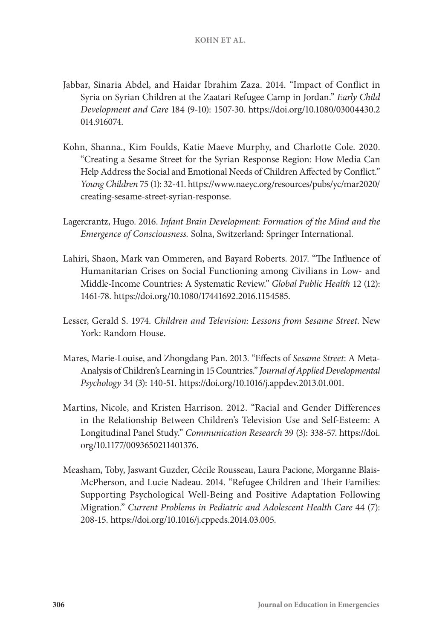- Jabbar, Sinaria Abdel, and Haidar Ibrahim Zaza. 2014. "Impact of Conflict in Syria on Syrian Children at the Zaatari Refugee Camp in Jordan." *Early Child Development and Care* 184 (9-10): 1507-30. [https://doi.org/10.1080/03004430.2](https://doi.org/10.1080/03004430.2014.916074) [014.916074](https://doi.org/10.1080/03004430.2014.916074).
- Kohn, Shanna., Kim Foulds, Katie Maeve Murphy, and Charlotte Cole. 2020. "Creating a Sesame Street for the Syrian Response Region: How Media Can Help Address the Social and Emotional Needs of Children Affected by Conflict." *Young Children* 75 (1): 32-41. [https://www.naeyc.org/resources/pubs/yc/mar2020/](https://www.naeyc.org/resources/pubs/yc/mar2020/creating-sesame-street-syrian-response) [creating-sesame-street-syrian-response.](https://www.naeyc.org/resources/pubs/yc/mar2020/creating-sesame-street-syrian-response)
- Lagercrantz, Hugo. 2016. *Infant Brain Development: Formation of the Mind and the Emergence of Consciousness.* Solna, Switzerland: Springer International.
- Lahiri, Shaon, Mark van Ommeren, and Bayard Roberts. 2017. "The Influence of Humanitarian Crises on Social Functioning among Civilians in Low- and Middle-Income Countries: A Systematic Review." *Global Public Health* 12 (12): 1461-78[. https://doi.org/10.1080/17441692.2016.1154585]( https://doi.org/10.1080/17441692.2016.1154585).
- Lesser, Gerald S. 1974. *Children and Television: Lessons from Sesame Street*. New York: Random House.
- Mares, Marie-Louise, and Zhongdang Pan. 2013. "Effects of *Sesame Street*: A Meta-Analysis of Children's Learning in 15 Countries." *Journal of Applied Developmental Psychology* 34 (3): 140-51. [https://doi.org/10.1016/j.appdev.2013.01.001.](https://doi.org/10.1016/j.appdev.2013.01.001)
- Martins, Nicole, and Kristen Harrison. 2012. "Racial and Gender Differences in the Relationship Between Children's Television Use and Self-Esteem: A Longitudinal Panel Study." *Communication Research* 39 (3): 338-57. [https://doi.](https://doi.org/10.1177/0093650211401376) [org/10.1177/0093650211401376](https://doi.org/10.1177/0093650211401376).
- Measham, Toby, Jaswant Guzder, Cécile Rousseau, Laura Pacione, Morganne Blais-McPherson, and Lucie Nadeau. 2014. "Refugee Children and Their Families: Supporting Psychological Well-Being and Positive Adaptation Following Migration." *Current Problems in Pediatric and Adolescent Health Care* 44 (7): 208-15.<https://doi.org/10.1016/j.cppeds.2014.03.005>.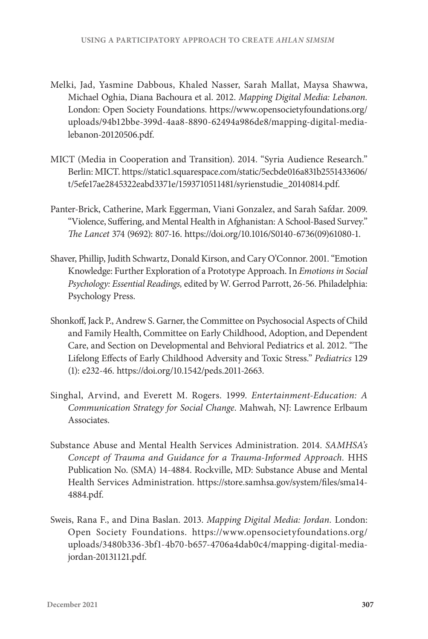- Melki, Jad, Yasmine Dabbous, Khaled Nasser, Sarah Mallat, Maysa Shawwa, Michael Oghia, Diana Bachoura et al. 2012. *Mapping Digital Media: Lebanon.* London: Open Society Foundations. [https://www.opensocietyfoundations.org/](https://www.opensocietyfoundations.org/uploads/94b12bbe-399d-4aa8-8890-62494a986de8/mapping-digital-media-lebanon-20120506.pdf) [uploads/94b12bbe-399d-4aa8-8890-62494a986de8/mapping-digital-media](https://www.opensocietyfoundations.org/uploads/94b12bbe-399d-4aa8-8890-62494a986de8/mapping-digital-media-lebanon-20120506.pdf)[lebanon-20120506.pdf](https://www.opensocietyfoundations.org/uploads/94b12bbe-399d-4aa8-8890-62494a986de8/mapping-digital-media-lebanon-20120506.pdf).
- MICT (Media in Cooperation and Transition). 2014. "Syria Audience Research." Berlin: MICT. [https://static1.squarespace.com/static/5ecbde016a831b2551433606/](https://static1.squarespace.com/static/5ecbde016a831b2551433606/t/5efe17ae2845322eabd3371e/1593710511481/syrienstudie_20140814.pdf) [t/5efe17ae2845322eabd3371e/1593710511481/syrienstudie\\_20140814.pdf](https://static1.squarespace.com/static/5ecbde016a831b2551433606/t/5efe17ae2845322eabd3371e/1593710511481/syrienstudie_20140814.pdf).
- Panter-Brick, Catherine, Mark Eggerman, Viani Gonzalez, and Sarah Safdar. 2009. "Violence, Suffering, and Mental Health in Afghanistan: A School-Based Survey." *The Lancet* 374 (9692): 807-16. [https://doi.org/10.1016/S0140-6736\(09\)61080-1.](https://doi.org/10.1016/S0140-6736(09)61080-1)
- Shaver, Phillip, Judith Schwartz, Donald Kirson, and Cary O'Connor. 2001. "Emotion Knowledge: Further Exploration of a Prototype Approach. In *Emotions in Social Psychology: Essential Readings,* edited by W. Gerrod Parrott, 26-56. Philadelphia: Psychology Press.
- Shonkoff, Jack P., Andrew S. Garner, the Committee on Psychosocial Aspects of Child and Family Health, Committee on Early Childhood, Adoption, and Dependent Care, and Section on Developmental and Behvioral Pediatrics et al. 2012. "The Lifelong Effects of Early Childhood Adversity and Toxic Stress." *Pediatrics* 129 (1): e232-46. [https://doi.org/10.1542/peds.2011-2663.](https://doi.org/10.1542/peds.2011-2663)
- Singhal, Arvind, and Everett M. Rogers. 1999. *Entertainment-Education: A Communication Strategy for Social Change*. Mahwah, NJ: Lawrence Erlbaum Associates.
- Substance Abuse and Mental Health Services Administration. 2014. *SAMHSA's Concept of Trauma and Guidance for a Trauma-Informed Approach.* HHS Publication No. (SMA) 14-4884. Rockville, MD: Substance Abuse and Mental Health Services Administration. [https://store.samhsa.gov/system/files/sma14-](https://store.samhsa.gov/system/files/sma14-4884.pdf) [4884.pdf](https://store.samhsa.gov/system/files/sma14-4884.pdf).
- Sweis, Rana F., and Dina Baslan. 2013. *Mapping Digital Media: Jordan.* London: Open Society Foundations. [https://www.opensocietyfoundations.org/](https://www.opensocietyfoundations.org/uploads/3480b336-3bf1-4b70-b657-4706a4dab0c4/mapping-digital-media-jordan-20131121.pdf) [uploads/3480b336-3bf1-4b70-b657-4706a4dab0c4/mapping-digital-media](https://www.opensocietyfoundations.org/uploads/3480b336-3bf1-4b70-b657-4706a4dab0c4/mapping-digital-media-jordan-20131121.pdf)[jordan-20131121.pdf.](https://www.opensocietyfoundations.org/uploads/3480b336-3bf1-4b70-b657-4706a4dab0c4/mapping-digital-media-jordan-20131121.pdf)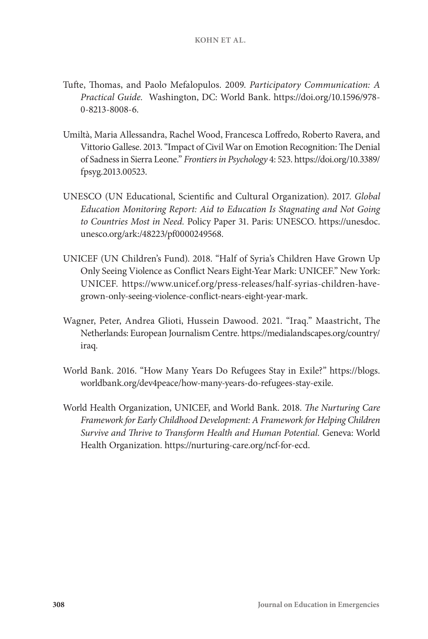- Tufte, Thomas, and Paolo Mefalopulos. 2009. *Participatory Communication: A Practical Guide.* Washington, DC: World Bank. [https://doi.org/10.1596/978-](https://doi.org/10.1596/978-0-8213-8008-6) [0-8213-8008-6.](https://doi.org/10.1596/978-0-8213-8008-6)
- Umiltà, Maria Allessandra, Rachel Wood, Francesca Loffredo, Roberto Ravera, and Vittorio Gallese. 2013. "Impact of Civil War on Emotion Recognition: The Denial of Sadness in Sierra Leone." *Frontiers in Psychology* 4: 523. [https://doi.org/10.3389/](https://doi.org/10.3389/fpsyg.2013.00523) [fpsyg.2013.00523](https://doi.org/10.3389/fpsyg.2013.00523).
- UNESCO (UN Educational, Scientific and Cultural Organization). 2017. *Global Education Monitoring Report: Aid to Education Is Stagnating and Not Going to Countries Most in Need.* Policy Paper 31. Paris: UNESCO. [https://unesdoc.](https://unesdoc.unesco.org/ark:/48223/pf0000249568) [unesco.org/ark:/48223/pf0000249568](https://unesdoc.unesco.org/ark:/48223/pf0000249568).
- UNICEF (UN Children's Fund). 2018. "Half of Syria's Children Have Grown Up Only Seeing Violence as Conflict Nears Eight-Year Mark: UNICEF." New York: UNICEF. [https://www.unicef.org/press-releases/half-syrias-children-have](https://www.unicef.org/press-releases/half-syrias-children-have-grown-only-seeing-violence-conflict-nears-eight-year-mark)[grown-only-seeing-violence-conflict-nears-eight-year-mark](https://www.unicef.org/press-releases/half-syrias-children-have-grown-only-seeing-violence-conflict-nears-eight-year-mark).
- Wagner, Peter, Andrea Glioti, Hussein Dawood. 2021. "Iraq." Maastricht, The Netherlands: European Journalism Centre. [https://medialandscapes.org/country/](https://medialandscapes.org/country/iraq) [iraq.](https://medialandscapes.org/country/iraq)
- World Bank. 2016. "How Many Years Do Refugees Stay in Exile?" [https://blogs.](https://blogs.worldbank.org/dev4peace/how-many-years-do-refugees-stay-exile) [worldbank.org/dev4peace/how-many-years-do-refugees-stay-exile.](https://blogs.worldbank.org/dev4peace/how-many-years-do-refugees-stay-exile)
- World Health Organization, UNICEF, and World Bank. 2018. *The Nurturing Care Framework for Early Childhood Development: A Framework for Helping Children Survive and Thrive to Transform Health and Human Potential.* Geneva: World Health Organization. [https://nurturing-care.org/ncf-for-ecd.](https://nurturing-care.org/ncf-for-ecd)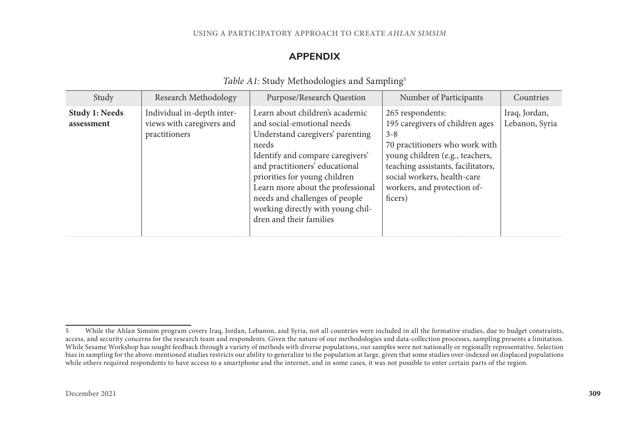#### **USING A PARTICIPATORY APPROACH TO CREATE** *AHLAN SIMSIM*

## **APPENDIX**

| Study                               | Research Methodology                                                     | Purpose/Research Question                                                                                                                                                                                                                                                                                                                                | Number of Participants                                                                                                                                                                                                                             | Countries                       |
|-------------------------------------|--------------------------------------------------------------------------|----------------------------------------------------------------------------------------------------------------------------------------------------------------------------------------------------------------------------------------------------------------------------------------------------------------------------------------------------------|----------------------------------------------------------------------------------------------------------------------------------------------------------------------------------------------------------------------------------------------------|---------------------------------|
| <b>Study 1: Needs</b><br>assessment | Individual in-depth inter-<br>views with caregivers and<br>practitioners | Learn about children's academic<br>and social-emotional needs<br>Understand caregivers' parenting<br>needs<br>Identify and compare caregivers'<br>and practitioners' educational<br>priorities for young children<br>Learn more about the professional<br>needs and challenges of people<br>working directly with young chil-<br>dren and their families | 265 respondents:<br>195 caregivers of children ages<br>$3 - 8$<br>70 practitioners who work with<br>young children (e.g., teachers,<br>teaching assistants, facilitators,<br>social workers, health-care<br>workers, and protection of-<br>ficers) | Iraq, Jordan,<br>Lebanon, Syria |

#### *Table A1:* Study Methodologies and Sampling<sup>5</sup>

<sup>5</sup> While the Ahlan Simsim program covers Iraq, Jordan, Lebanon, and Syria, not all countries were included in all the formative studies, due to budget constraints, access, and security concerns for the research team and respondents. Given the nature of our methodologies and data-collection processes, sampling presents a limitation. While Sesame Workshop has sought feedback through a variety of methods with diverse populations, our samples were not nationally or regionally representative. Selection bias in sampling for the above-mentioned studies restricts our ability to generalize to the population at large, given that some studies over-indexed on displaced populations while others required respondents to have access to a smartphone and the internet, and in some cases, it was not possible to enter certain parts of the region.